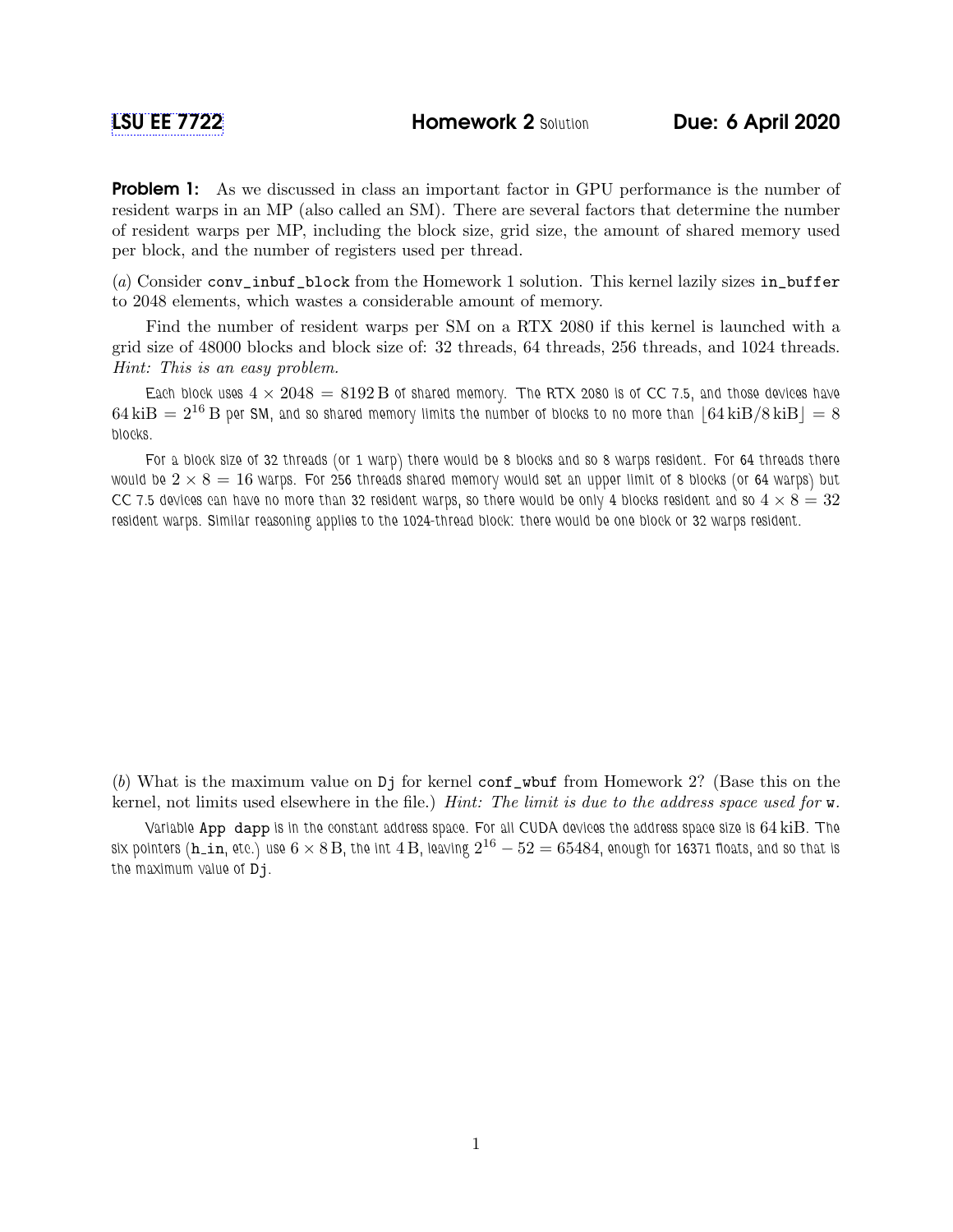**Problem 1:** As we discussed in class an important factor in GPU performance is the number of resident warps in an MP (also called an SM). There are several factors that determine the number of resident warps per MP, including the block size, grid size, the amount of shared memory used per block, and the number of registers used per thread.

(a) Consider conv\_inbuf\_block from the Homework 1 solution. This kernel lazily sizes in\_buffer to 2048 elements, which wastes a considerable amount of memory.

Find the number of resident warps per SM on a RTX 2080 if this kernel is launched with a grid size of 48000 blocks and block size of: 32 threads, 64 threads, 256 threads, and 1024 threads. Hint: This is an easy problem.

Each block uses  $4 \times 2048 = 8192 B$  of shared memory. The RTX 2080 is of CC 7.5, and those devices have  $64 \,\text{kiB} = 2^{16} \,\text{B}$  per SM, and so shared memory limits the number of blocks to no more than  $\left| 64 \,\text{kiB/s}\,\text{kiB} \right| = 8$ blocks.

For a block size of 32 threads (or 1 warp) there would be 8 blocks and so 8 warps resident. For 64 threads there would be  $2 \times 8 = 16$  warps. For 256 threads shared memory would set an upper limit of 8 blocks (or 64 warps) but CC 7.5 devices can have no more than 32 resident warps, so there would be only 4 blocks resident and so  $4 \times 8 = 32$ resident warps. Similar reasoning applies to the 1024-thread block: there would be one block or 32 warps resident.

(b) What is the maximum value on Dj for kernel conf\_wbuf from Homework 2? (Base this on the kernel, not limits used elsewhere in the file.) Hint: The limit is due to the address space used for w.

Variable App dapp is in the constant address space. For all CUDA devices the address space size is 64 kiB. The six pointers (h\_in, etc.) use  $6\times8$   $\mathrm{B},$  the int  $4$   $\mathrm{B},$  leaving  $2^{16}-52=65484$ , enough for 16371 floats, and so that is the maximum value of Dj.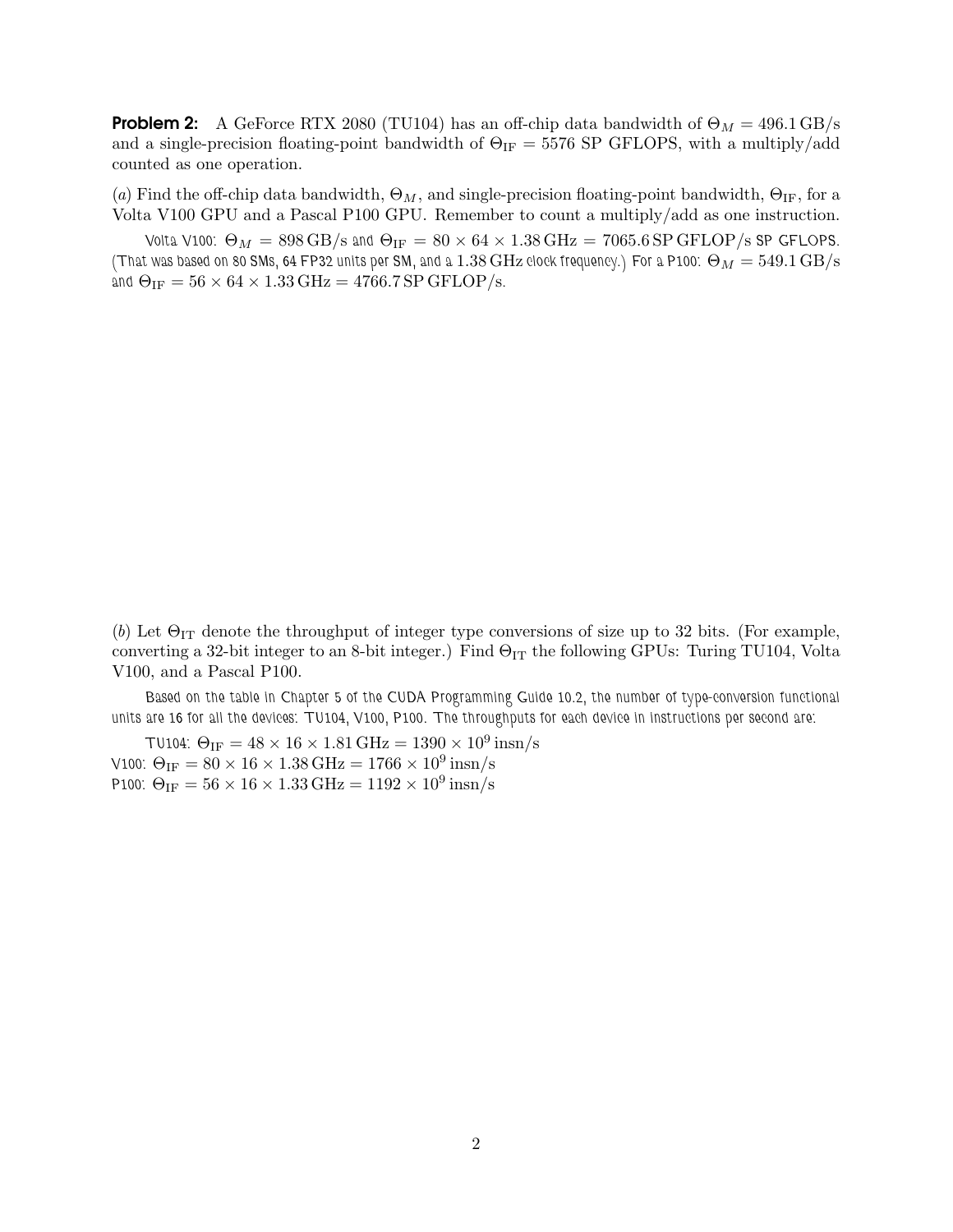**Problem 2:** A GeForce RTX 2080 (TU104) has an off-chip data bandwidth of  $\Theta_M = 496.1 \text{ GB/s}$ and a single-precision floating-point bandwidth of  $\Theta_{IF} = 5576$  SP GFLOPS, with a multiply/add counted as one operation.

(a) Find the off-chip data bandwidth,  $\Theta_M$ , and single-precision floating-point bandwidth,  $\Theta_{IF}$ , for a Volta V100 GPU and a Pascal P100 GPU. Remember to count a multiply/add as one instruction.

Volta V100:  $\Theta_M = 898 \text{ GB/s}$  and  $\Theta_{\text{IF}} = 80 \times 64 \times 1.38 \text{ GHz} = 7065.6 \text{ SP}$  GFLOP/s SP GFLOPS. (That was based on 80 SMs, 64 FP32 units per SM, and a  $1.38$  GHz clock frequency.) For a P100:  $\Theta_M = 549.1$  GB/s and  $\Theta_{IF} = 56 \times 64 \times 1.33 \text{ GHz} = 4766.7 \text{ SP} \text{ GFLOP/s}.$ 

(b) Let  $\Theta_{IT}$  denote the throughput of integer type conversions of size up to 32 bits. (For example, converting a 32-bit integer to an 8-bit integer.) Find  $\Theta_{IT}$  the following GPUs: Turing TU104, Volta V100, and a Pascal P100.

Based on the table in Chapter 5 of the CUDA Programming Guide 10.2, the number of type-conversion functional units are 16 for all the devices: TU104, V100, P100. The throughputs for each device in instructions per second are:

TU104:  $\Theta_{\rm IF} = 48 \times 16 \times 1.81\,\rm GHz = 1390 \times 10^{9}\,\rm insn/s$ V100:  $\Theta_{\text{IF}} = 80 \times 16 \times 1.38 \text{ GHz} = 1766 \times 10^9 \text{ insn/s}$ P100:  $\Theta_{\text{IF}} = 56 \times 16 \times 1.33 \text{ GHz} = 1192 \times 10^9 \text{ insn/s}$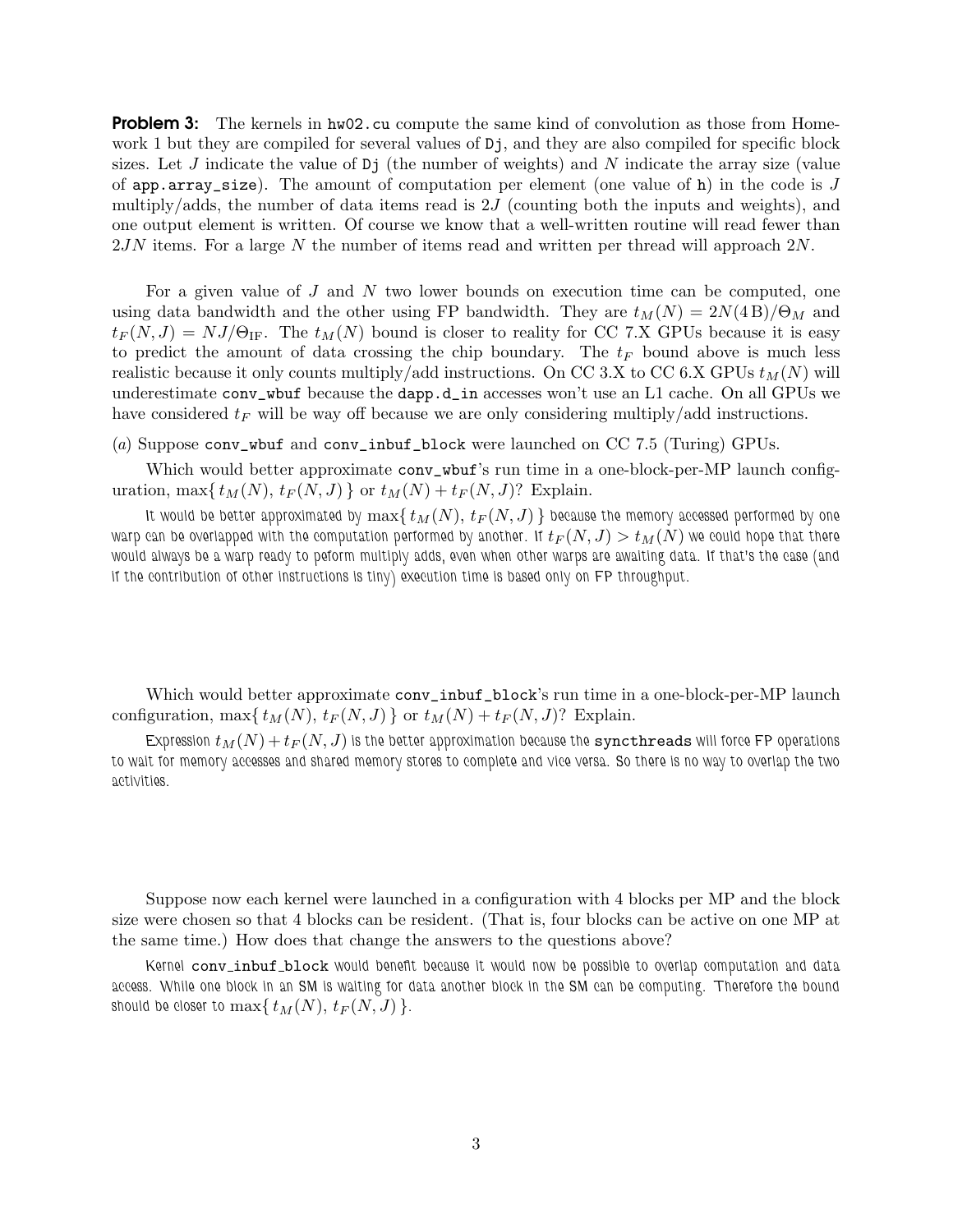**Problem 3:** The kernels in hw02.cu compute the same kind of convolution as those from Homework 1 but they are compiled for several values of  $D_j$ , and they are also compiled for specific block sizes. Let J indicate the value of  $D<sub>j</sub>$  (the number of weights) and N indicate the array size (value of app.array\_size). The amount of computation per element (one value of h) in the code is  $J$ multiply/adds, the number of data items read is  $2J$  (counting both the inputs and weights), and one output element is written. Of course we know that a well-written routine will read fewer than 2JN items. For a large N the number of items read and written per thread will approach 2N.

For a given value of J and N two lower bounds on execution time can be computed, one using data bandwidth and the other using FP bandwidth. They are  $t_M(N) = 2N(4B)/\Theta_M$  and  $t_F(N, J) = NJ/\Theta_{\text{IF}}$ . The  $t_M(N)$  bound is closer to reality for CC 7.X GPUs because it is easy to predict the amount of data crossing the chip boundary. The  $t_F$  bound above is much less realistic because it only counts multiply/add instructions. On CC 3.X to CC 6.X GPUs  $t_M(N)$  will underestimate conv\_wbuf because the dapp.d\_in accesses won't use an L1 cache. On all GPUs we have considered  $t_F$  will be way off because we are only considering multiply/add instructions.

## (a) Suppose conv\_wbuf and conv\_inbuf\_block were launched on CC 7.5 (Turing) GPUs.

Which would better approximate conv\_wbuf's run time in a one-block-per-MP launch configuration, max $\{ t_M(N), t_F(N, J) \}$  or  $t_M(N) + t_F(N, J)$ ? Explain.

It would be better approximated by  $\max\{ t_M(N), t_F(N, J) \}$  because the memory accessed performed by one warp can be overlapped with the computation performed by another. If  $t_F(N, J) > t_M(N)$  we could hope that there would always be a warp ready to peform multiply adds, even when other warps are awaiting data. If that's the case (and if the contribution of other instructions is tiny) execution time is based only on FP throughput.

Which would better approximate conv\_inbuf\_block's run time in a one-block-per-MP launch configuration, max $\{ t_M(N), t_F(N, J) \}$  or  $t_M(N) + t_F(N, J)$ ? Explain.

Expression  $t_M(N) + t_F(N, J)$  is the better approximation because the syncthreads will force FP operations to wait for memory accesses and shared memory stores to complete and vice versa. So there is no way to overlap the two activities.

Suppose now each kernel were launched in a configuration with 4 blocks per MP and the block size were chosen so that 4 blocks can be resident. (That is, four blocks can be active on one MP at the same time.) How does that change the answers to the questions above?

Kernel conv\_inbuf\_block would benefit because it would now be possible to overlap computation and data access. While one block in an SM is waiting for data another block in the SM can be computing. Therefore the bound should be closer to  $\max\{t_M(N), t_F(N, J)\}.$